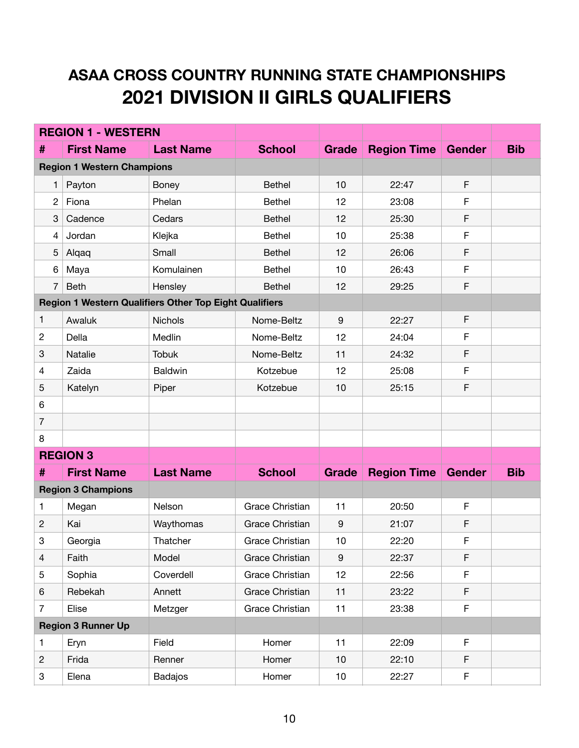## **ASAA CROSS COUNTRY RUNNING STATE CHAMPIONSHIPS 2021 DIVISION II GIRLS QUALIFIERS**

| <b>REGION 1 - WESTERN</b>                                     |                                   |                  |                        |                  |                    |               |            |
|---------------------------------------------------------------|-----------------------------------|------------------|------------------------|------------------|--------------------|---------------|------------|
| #                                                             | <b>First Name</b>                 | <b>Last Name</b> | <b>School</b>          | Grade            | <b>Region Time</b> | <b>Gender</b> | <b>Bib</b> |
|                                                               | <b>Region 1 Western Champions</b> |                  |                        |                  |                    |               |            |
| 1                                                             | Payton                            | <b>Boney</b>     | <b>Bethel</b>          | 10               | 22:47              | F             |            |
| $\mathbf{2}$                                                  | Fiona                             | Phelan           | <b>Bethel</b>          | 12               | 23:08              | F             |            |
| 3                                                             | Cadence                           | Cedars           | <b>Bethel</b>          | 12               | 25:30              | F             |            |
| 4                                                             | Jordan                            | Klejka           | <b>Bethel</b>          | 10               | 25:38              | F             |            |
| 5                                                             | Alqaq                             | Small            | <b>Bethel</b>          | 12               | 26:06              | F             |            |
| 6                                                             | Maya                              | Komulainen       | <b>Bethel</b>          | 10               | 26:43              | $\mathsf F$   |            |
| $\overline{7}$                                                | <b>Beth</b>                       | Hensley          | <b>Bethel</b>          | 12               | 29:25              | F             |            |
| <b>Region 1 Western Qualifiers Other Top Eight Qualifiers</b> |                                   |                  |                        |                  |                    |               |            |
| $\mathbf{1}$                                                  | Awaluk                            | <b>Nichols</b>   | Nome-Beltz             | $9\,$            | 22:27              | F             |            |
| $\overline{c}$                                                | Della                             | Medlin           | Nome-Beltz             | 12               | 24:04              | F             |            |
| $\ensuremath{\mathsf{3}}$                                     | Natalie                           | <b>Tobuk</b>     | Nome-Beltz             | 11               | 24:32              | F             |            |
| $\overline{4}$                                                | Zaida                             | <b>Baldwin</b>   | Kotzebue               | 12               | 25:08              | F             |            |
| 5                                                             | Katelyn                           | Piper            | Kotzebue               | 10               | 25:15              | F             |            |
| 6                                                             |                                   |                  |                        |                  |                    |               |            |
| $\overline{7}$                                                |                                   |                  |                        |                  |                    |               |            |
| 8                                                             |                                   |                  |                        |                  |                    |               |            |
| <b>REGION 3</b>                                               |                                   |                  |                        |                  |                    |               |            |
| #                                                             | <b>First Name</b>                 | <b>Last Name</b> | <b>School</b>          | Grade            | <b>Region Time</b> | <b>Gender</b> | <b>Bib</b> |
|                                                               | <b>Region 3 Champions</b>         |                  |                        |                  |                    |               |            |
| 1                                                             | Megan                             | Nelson           | <b>Grace Christian</b> | 11               | 20:50              | F             |            |
| $\mathbf{2}$                                                  | Kai                               | Waythomas        | <b>Grace Christian</b> | $9\,$            | 21:07              | F             |            |
| 3                                                             | Georgia                           | Thatcher         | <b>Grace Christian</b> | 10               | 22:20              | F             |            |
| $\overline{4}$                                                | Faith                             | Model            | <b>Grace Christian</b> | $\boldsymbol{9}$ | 22:37              | F             |            |
| 5                                                             | Sophia                            | Coverdell        | Grace Christian        | 12               | 22:56              | $\mathsf F$   |            |
| 6                                                             | Rebekah                           | Annett           | <b>Grace Christian</b> | 11               | 23:22              | $\mathsf F$   |            |
| $\overline{7}$                                                | Elise                             | Metzger          | <b>Grace Christian</b> | 11               | 23:38              | $\mathsf F$   |            |
|                                                               | <b>Region 3 Runner Up</b>         |                  |                        |                  |                    |               |            |
| 1                                                             | Eryn                              | Field            | Homer                  | 11               | 22:09              | $\mathsf F$   |            |
| $\overline{c}$                                                | Frida                             | Renner           | Homer                  | 10               | 22:10              | $\mathsf F$   |            |
| 3                                                             | Elena                             | Badajos          | Homer                  | 10               | 22:27              | $\mathsf F$   |            |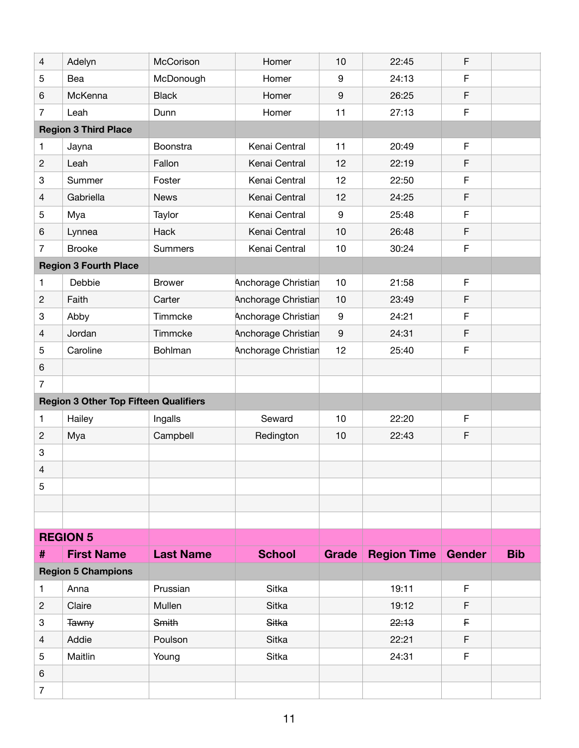| $\overline{4}$                               | Adelyn                      | McCorison        | Homer               | 10           | 22:45                     | F           |            |
|----------------------------------------------|-----------------------------|------------------|---------------------|--------------|---------------------------|-------------|------------|
| 5                                            | Bea                         | McDonough        | Homer               | 9            | 24:13                     | F           |            |
| 6                                            | McKenna                     | <b>Black</b>     | Homer               | 9            | 26:25                     | F           |            |
| $\overline{7}$                               | Leah                        | Dunn             | Homer               | 11           | 27:13                     | F           |            |
|                                              | <b>Region 3 Third Place</b> |                  |                     |              |                           |             |            |
| 1                                            | Jayna                       | Boonstra         | Kenai Central       | 11           | 20:49                     | F           |            |
| $\mathbf{2}$                                 | Leah                        | Fallon           | Kenai Central       | 12           | 22:19                     | F           |            |
| 3                                            | Summer                      | Foster           | Kenai Central       | 12           | 22:50                     | F           |            |
| $\overline{4}$                               | Gabriella                   | <b>News</b>      | Kenai Central       | 12           | 24:25                     | F           |            |
| 5                                            | Mya                         | Taylor           | Kenai Central       | 9            | 25:48                     | F           |            |
| 6                                            | Lynnea                      | Hack             | Kenai Central       | 10           | 26:48                     | F           |            |
| $\overline{7}$                               | <b>Brooke</b>               | <b>Summers</b>   | Kenai Central       | 10           | 30:24                     | F           |            |
| <b>Region 3 Fourth Place</b>                 |                             |                  |                     |              |                           |             |            |
| 1                                            | Debbie                      | <b>Brower</b>    | Anchorage Christian | 10           | 21:58                     | $\mathsf F$ |            |
| $\mathbf{2}$                                 | Faith                       | Carter           | Anchorage Christian | 10           | 23:49                     | F           |            |
| 3                                            | Abby                        | Timmcke          | Anchorage Christian | 9            | 24:21                     | F           |            |
| 4                                            | Jordan                      | Timmcke          | Anchorage Christian | 9            | 24:31                     | $\mathsf F$ |            |
| 5                                            | Caroline                    | Bohlman          | Anchorage Christian | 12           | 25:40                     | $\mathsf F$ |            |
| 6                                            |                             |                  |                     |              |                           |             |            |
| $\overline{7}$                               |                             |                  |                     |              |                           |             |            |
| <b>Region 3 Other Top Fifteen Qualifiers</b> |                             |                  |                     |              |                           |             |            |
| 1                                            | Hailey                      | Ingalls          | Seward              | 10           | 22:20                     | $\mathsf F$ |            |
| $\mathbf{2}$                                 | Mya                         | Campbell         | Redington           | 10           | 22:43                     | F           |            |
| 3                                            |                             |                  |                     |              |                           |             |            |
| 4                                            |                             |                  |                     |              |                           |             |            |
| 5                                            |                             |                  |                     |              |                           |             |            |
|                                              |                             |                  |                     |              |                           |             |            |
|                                              |                             |                  |                     |              |                           |             |            |
|                                              | <b>REGION 5</b>             |                  |                     |              |                           |             |            |
| #                                            | <b>First Name</b>           | <b>Last Name</b> | <b>School</b>       | <b>Grade</b> | <b>Region Time Gender</b> |             | <b>Bib</b> |
|                                              | <b>Region 5 Champions</b>   |                  |                     |              |                           |             |            |
| 1                                            | Anna                        | Prussian         | Sitka               |              | 19:11                     | $\mathsf F$ |            |
| $\overline{c}$                               | Claire                      | Mullen           | <b>Sitka</b>        |              | 19:12                     | F           |            |
| 3                                            | <b>Tawny</b>                | Smith            | Sitka               |              | 22:13                     | F           |            |
| 4                                            | Addie                       | Poulson          | Sitka               |              | 22:21                     | F           |            |
| 5                                            | Maitlin                     | Young            | Sitka               |              | 24:31                     | F           |            |
| 6                                            |                             |                  |                     |              |                           |             |            |
| $\overline{7}$                               |                             |                  |                     |              |                           |             |            |